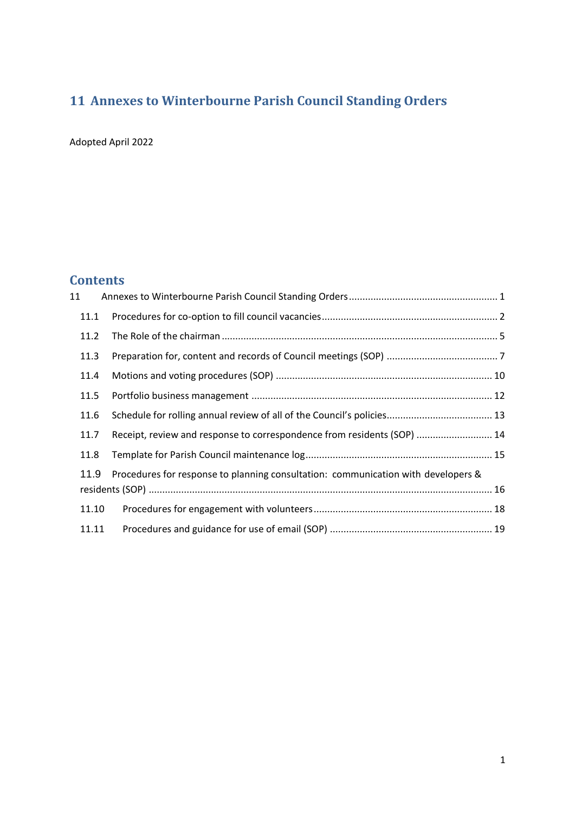# <span id="page-0-0"></span>**11 Annexes to Winterbourne Parish Council Standing Orders**

Adopted April 2022

## **Contents**

| 11                                                                                        |       |                                                                         |  |  |
|-------------------------------------------------------------------------------------------|-------|-------------------------------------------------------------------------|--|--|
|                                                                                           | 11.1  |                                                                         |  |  |
|                                                                                           | 11.2  |                                                                         |  |  |
|                                                                                           | 11.3  |                                                                         |  |  |
|                                                                                           | 11.4  |                                                                         |  |  |
|                                                                                           | 11.5  |                                                                         |  |  |
|                                                                                           | 11.6  |                                                                         |  |  |
|                                                                                           | 11.7  | Receipt, review and response to correspondence from residents (SOP)  14 |  |  |
|                                                                                           | 11.8  |                                                                         |  |  |
| Procedures for response to planning consultation: communication with developers &<br>11.9 |       |                                                                         |  |  |
|                                                                                           | 11.10 |                                                                         |  |  |
|                                                                                           | 11.11 |                                                                         |  |  |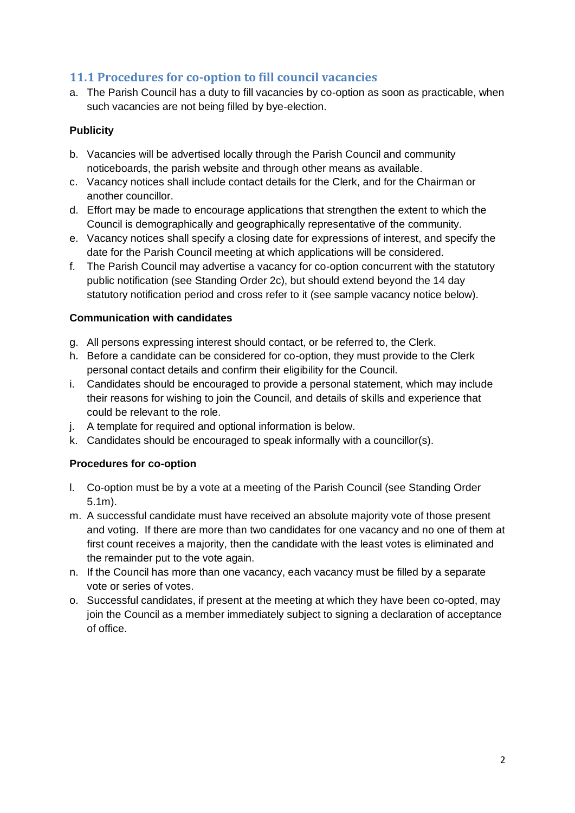### <span id="page-1-0"></span>**11.1 Procedures for co-option to fill council vacancies**

a. The Parish Council has a duty to fill vacancies by co-option as soon as practicable, when such vacancies are not being filled by bye-election.

### **Publicity**

- b. Vacancies will be advertised locally through the Parish Council and community noticeboards, the parish website and through other means as available.
- c. Vacancy notices shall include contact details for the Clerk, and for the Chairman or another councillor.
- d. Effort may be made to encourage applications that strengthen the extent to which the Council is demographically and geographically representative of the community.
- e. Vacancy notices shall specify a closing date for expressions of interest, and specify the date for the Parish Council meeting at which applications will be considered.
- f. The Parish Council may advertise a vacancy for co-option concurrent with the statutory public notification (see Standing Order 2c), but should extend beyond the 14 day statutory notification period and cross refer to it (see sample vacancy notice below).

### **Communication with candidates**

- g. All persons expressing interest should contact, or be referred to, the Clerk.
- h. Before a candidate can be considered for co-option, they must provide to the Clerk personal contact details and confirm their eligibility for the Council.
- i. Candidates should be encouraged to provide a personal statement, which may include their reasons for wishing to join the Council, and details of skills and experience that could be relevant to the role.
- j. A template for required and optional information is below.
- k. Candidates should be encouraged to speak informally with a councillor(s).

### **Procedures for co-option**

- l. Co-option must be by a vote at a meeting of the Parish Council (see Standing Order 5.1m).
- m. A successful candidate must have received an absolute majority vote of those present and voting. If there are more than two candidates for one vacancy and no one of them at first count receives a majority, then the candidate with the least votes is eliminated and the remainder put to the vote again.
- n. If the Council has more than one vacancy, each vacancy must be filled by a separate vote or series of votes.
- o. Successful candidates, if present at the meeting at which they have been co-opted, may join the Council as a member immediately subject to signing a declaration of acceptance of office.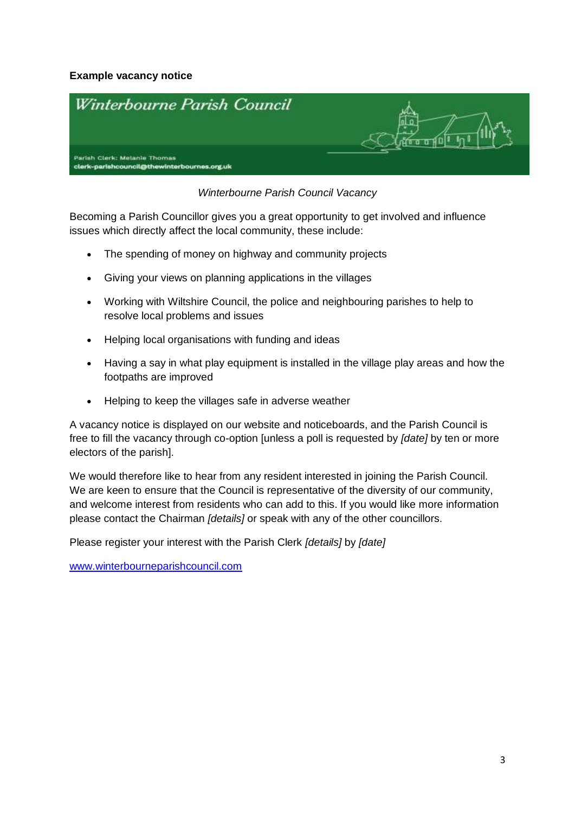### **Example vacancy notice**



### *Winterbourne Parish Council Vacancy*

Becoming a Parish Councillor gives you a great opportunity to get involved and influence issues which directly affect the local community, these include:

- The spending of money on highway and community projects
- Giving your views on planning applications in the villages
- Working with Wiltshire Council, the police and neighbouring parishes to help to resolve local problems and issues
- Helping local organisations with funding and ideas
- Having a say in what play equipment is installed in the village play areas and how the footpaths are improved
- Helping to keep the villages safe in adverse weather

A vacancy notice is displayed on our website and noticeboards, and the Parish Council is free to fill the vacancy through co-option [unless a poll is requested by *[date]* by ten or more electors of the parish].

We would therefore like to hear from any resident interested in joining the Parish Council. We are keen to ensure that the Council is representative of the diversity of our community, and welcome interest from residents who can add to this. If you would like more information please contact the Chairman *[details]* or speak with any of the other councillors.

Please register your interest with the Parish Clerk *[details]* by *[date]*

[www.winterbourneparishcouncil.com](http://www.winterbourneparishcouncil.com/)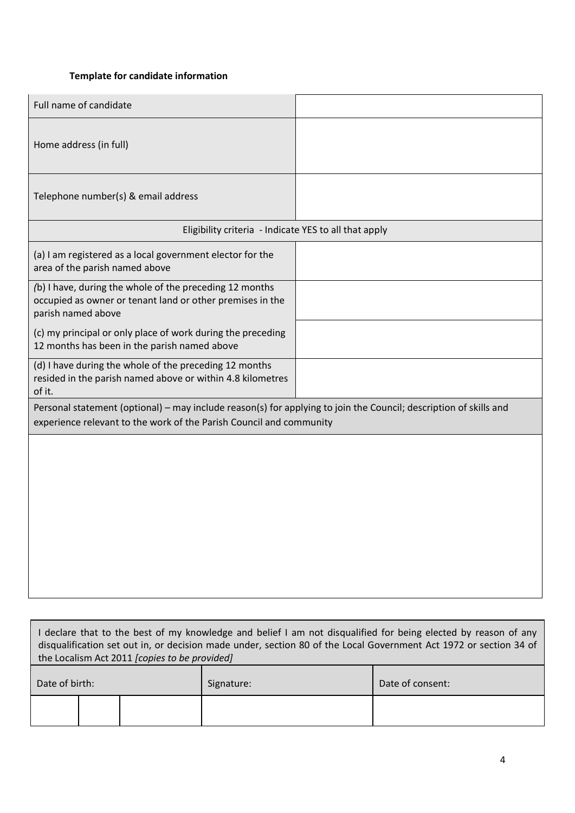### **Template for candidate information**

| Home address (in full)                                                                                                                                                                   |  |  |  |  |
|------------------------------------------------------------------------------------------------------------------------------------------------------------------------------------------|--|--|--|--|
|                                                                                                                                                                                          |  |  |  |  |
| Telephone number(s) & email address                                                                                                                                                      |  |  |  |  |
| Eligibility criteria - Indicate YES to all that apply                                                                                                                                    |  |  |  |  |
| (a) I am registered as a local government elector for the<br>area of the parish named above                                                                                              |  |  |  |  |
| (b) I have, during the whole of the preceding 12 months<br>occupied as owner or tenant land or other premises in the<br>parish named above                                               |  |  |  |  |
| (c) my principal or only place of work during the preceding<br>12 months has been in the parish named above                                                                              |  |  |  |  |
| (d) I have during the whole of the preceding 12 months<br>resided in the parish named above or within 4.8 kilometres<br>of it.                                                           |  |  |  |  |
| Personal statement (optional) – may include reason(s) for applying to join the Council; description of skills and<br>experience relevant to the work of the Parish Council and community |  |  |  |  |
|                                                                                                                                                                                          |  |  |  |  |

| I declare that to the best of my knowledge and belief I am not disqualified for being elected by reason of any<br>disqualification set out in, or decision made under, section 80 of the Local Government Act 1972 or section 34 of<br>the Localism Act 2011 (copies to be provided) |  |  |            |                  |
|--------------------------------------------------------------------------------------------------------------------------------------------------------------------------------------------------------------------------------------------------------------------------------------|--|--|------------|------------------|
| Date of birth:                                                                                                                                                                                                                                                                       |  |  | Signature: | Date of consent: |
|                                                                                                                                                                                                                                                                                      |  |  |            |                  |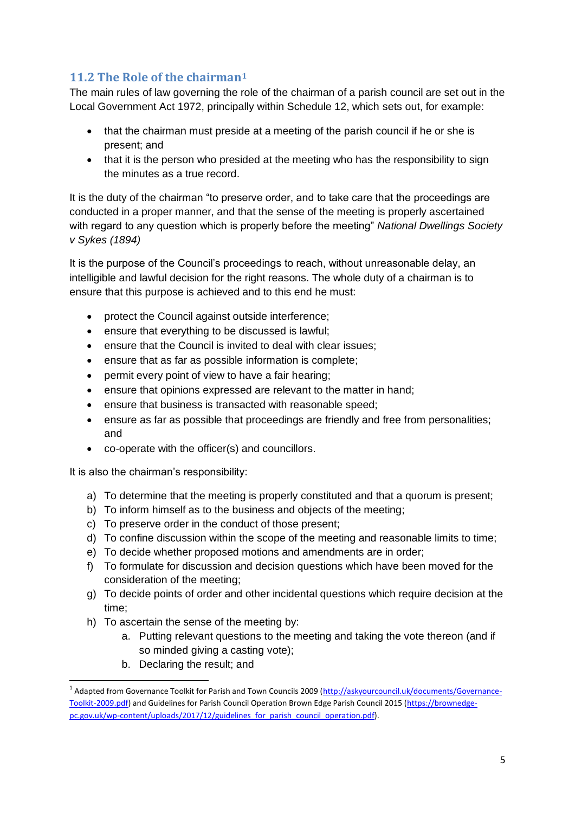## <span id="page-4-0"></span>**11.2 The Role of the chairman<sup>1</sup>**

The main rules of law governing the role of the chairman of a parish council are set out in the Local Government Act 1972, principally within Schedule 12, which sets out, for example:

- that the chairman must preside at a meeting of the parish council if he or she is present; and
- that it is the person who presided at the meeting who has the responsibility to sign the minutes as a true record.

It is the duty of the chairman "to preserve order, and to take care that the proceedings are conducted in a proper manner, and that the sense of the meeting is properly ascertained with regard to any question which is properly before the meeting" *National Dwellings Society v Sykes (1894)*

It is the purpose of the Council's proceedings to reach, without unreasonable delay, an intelligible and lawful decision for the right reasons. The whole duty of a chairman is to ensure that this purpose is achieved and to this end he must:

- protect the Council against outside interference;
- ensure that everything to be discussed is lawful;
- ensure that the Council is invited to deal with clear issues;
- ensure that as far as possible information is complete;
- permit every point of view to have a fair hearing;
- ensure that opinions expressed are relevant to the matter in hand;
- ensure that business is transacted with reasonable speed;
- ensure as far as possible that proceedings are friendly and free from personalities; and
- co-operate with the officer(s) and councillors.

It is also the chairman's responsibility:

- a) To determine that the meeting is properly constituted and that a quorum is present;
- b) To inform himself as to the business and objects of the meeting;
- c) To preserve order in the conduct of those present;
- d) To confine discussion within the scope of the meeting and reasonable limits to time;
- e) To decide whether proposed motions and amendments are in order;
- f) To formulate for discussion and decision questions which have been moved for the consideration of the meeting;
- g) To decide points of order and other incidental questions which require decision at the time;
- h) To ascertain the sense of the meeting by:
	- a. Putting relevant questions to the meeting and taking the vote thereon (and if so minded giving a casting vote);
	- b. Declaring the result; and

1

<sup>&</sup>lt;sup>1</sup> Adapted from Governance Toolkit for Parish and Town Councils 2009 [\(http://askyourcouncil.uk/documents/Governance-](http://askyourcouncil.uk/documents/Governance-Toolkit-2009.pdf)[Toolkit-2009.pdf\)](http://askyourcouncil.uk/documents/Governance-Toolkit-2009.pdf) and Guidelines for Parish Council Operation Brown Edge Parish Council 2015 [\(https://brownedge](https://brownedge-pc.gov.uk/wp-content/uploads/2017/12/guidelines_for_parish_council_operation.pdf)pc.gov.uk/wp-content/uploads/2017/12/guidelines for parish council operation.pdf).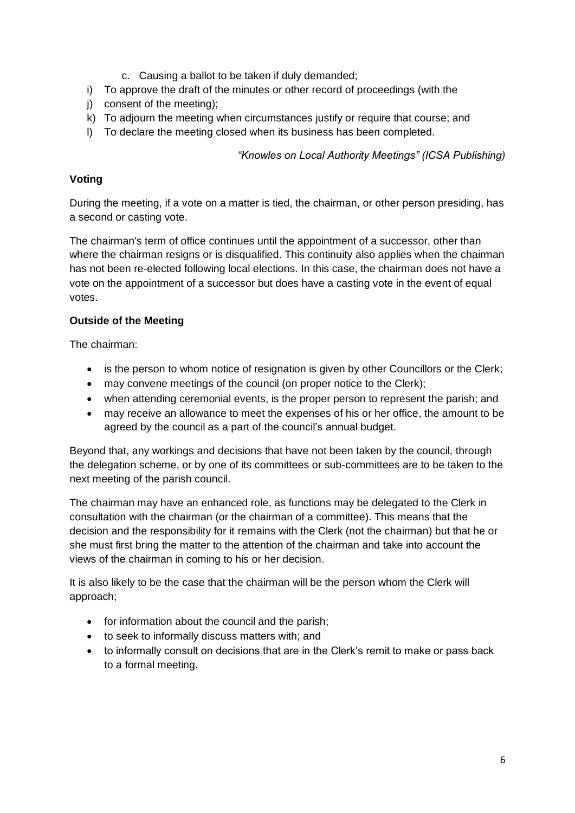- c. Causing a ballot to be taken if duly demanded;
- i) To approve the draft of the minutes or other record of proceedings (with the
- j) consent of the meeting);
- k) To adjourn the meeting when circumstances justify or require that course; and
- l) To declare the meeting closed when its business has been completed.

*"Knowles on Local Authority Meetings" (ICSA Publishing)*

#### **Voting**

During the meeting, if a vote on a matter is tied, the chairman, or other person presiding, has a second or casting vote.

The chairman's term of office continues until the appointment of a successor, other than where the chairman resigns or is disqualified. This continuity also applies when the chairman has not been re-elected following local elections. In this case, the chairman does not have a vote on the appointment of a successor but does have a casting vote in the event of equal votes.

### **Outside of the Meeting**

The chairman:

- is the person to whom notice of resignation is given by other Councillors or the Clerk;
- may convene meetings of the council (on proper notice to the Clerk);
- when attending ceremonial events, is the proper person to represent the parish; and
- may receive an allowance to meet the expenses of his or her office, the amount to be agreed by the council as a part of the council's annual budget.

Beyond that, any workings and decisions that have not been taken by the council, through the delegation scheme, or by one of its committees or sub-committees are to be taken to the next meeting of the parish council.

The chairman may have an enhanced role, as functions may be delegated to the Clerk in consultation with the chairman (or the chairman of a committee). This means that the decision and the responsibility for it remains with the Clerk (not the chairman) but that he or she must first bring the matter to the attention of the chairman and take into account the views of the chairman in coming to his or her decision.

It is also likely to be the case that the chairman will be the person whom the Clerk will approach;

- for information about the council and the parish;
- to seek to informally discuss matters with; and
- to informally consult on decisions that are in the Clerk's remit to make or pass back to a formal meeting.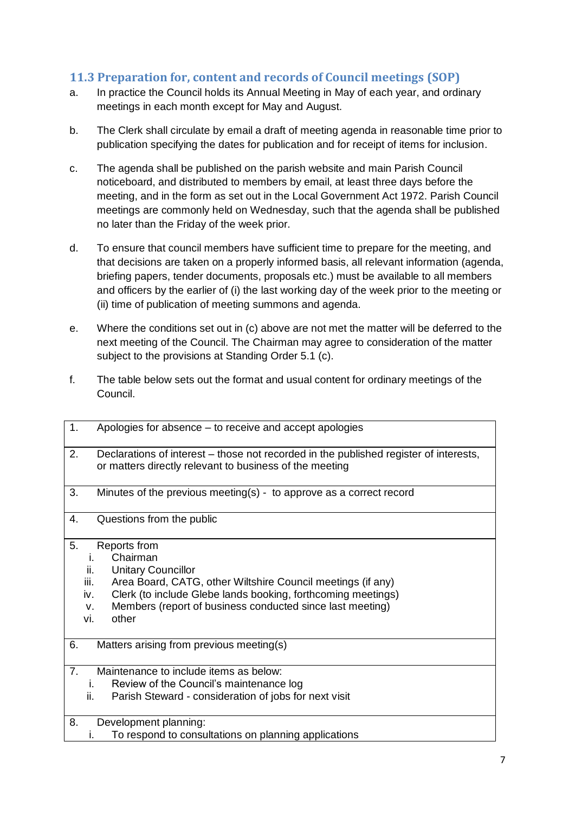## <span id="page-6-0"></span>**11.3 Preparation for, content and records of Council meetings (SOP)**

- a. In practice the Council holds its Annual Meeting in May of each year, and ordinary meetings in each month except for May and August.
- b. The Clerk shall circulate by email a draft of meeting agenda in reasonable time prior to publication specifying the dates for publication and for receipt of items for inclusion.
- c. The agenda shall be published on the parish website and main Parish Council noticeboard, and distributed to members by email, at least three days before the meeting, and in the form as set out in the Local Government Act 1972. Parish Council meetings are commonly held on Wednesday, such that the agenda shall be published no later than the Friday of the week prior.
- d. To ensure that council members have sufficient time to prepare for the meeting, and that decisions are taken on a properly informed basis, all relevant information (agenda, briefing papers, tender documents, proposals etc.) must be available to all members and officers by the earlier of (i) the last working day of the week prior to the meeting or (ii) time of publication of meeting summons and agenda.
- e. Where the conditions set out in (c) above are not met the matter will be deferred to the next meeting of the Council. The Chairman may agree to consideration of the matter subject to the provisions at Standing Order 5.1 (c).
- f. The table below sets out the format and usual content for ordinary meetings of the Council.

| 1.             | Apologies for absence – to receive and accept apologies                                                                                                                                                                                                                                             |
|----------------|-----------------------------------------------------------------------------------------------------------------------------------------------------------------------------------------------------------------------------------------------------------------------------------------------------|
| 2.             | Declarations of interest – those not recorded in the published register of interests,<br>or matters directly relevant to business of the meeting                                                                                                                                                    |
| 3.             | Minutes of the previous meeting(s) - to approve as a correct record                                                                                                                                                                                                                                 |
| 4.             | Questions from the public                                                                                                                                                                                                                                                                           |
| 5.             | Reports from<br>Chairman<br>İ.<br><b>Unitary Councillor</b><br>ii.<br>iii.<br>Area Board, CATG, other Wiltshire Council meetings (if any)<br>Clerk (to include Glebe lands booking, forthcoming meetings)<br>iv.<br>Members (report of business conducted since last meeting)<br>v.<br>other<br>vi. |
| 6.             | Matters arising from previous meeting(s)                                                                                                                                                                                                                                                            |
| 7 <sub>1</sub> | Maintenance to include items as below:<br>Review of the Council's maintenance log<br>$\mathbf{L}$<br>ii.<br>Parish Steward - consideration of jobs for next visit                                                                                                                                   |
| 8.             | Development planning:<br>To respond to consultations on planning applications<br>۱.                                                                                                                                                                                                                 |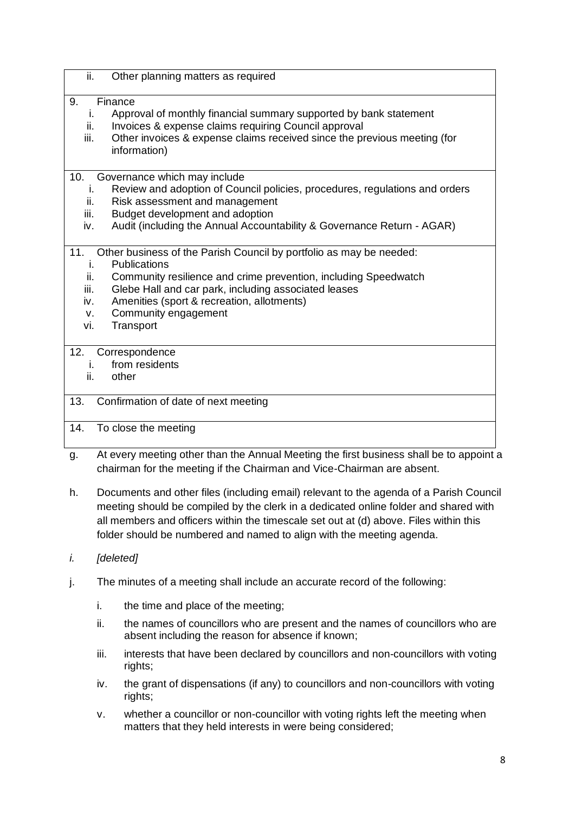| $\overline{\mathbf{ii}}$ .                   | Other planning matters as required                                                                                                                                                                                                                                                                |
|----------------------------------------------|---------------------------------------------------------------------------------------------------------------------------------------------------------------------------------------------------------------------------------------------------------------------------------------------------|
| 9.<br>İ.<br>ii.<br>iii.                      | Finance<br>Approval of monthly financial summary supported by bank statement<br>Invoices & expense claims requiring Council approval<br>Other invoices & expense claims received since the previous meeting (for<br>information)                                                                  |
| 10.<br>İ.<br>ii.<br>iii.<br>iv.              | Governance which may include<br>Review and adoption of Council policies, procedures, regulations and orders<br>Risk assessment and management<br>Budget development and adoption<br>Audit (including the Annual Accountability & Governance Return - AGAR)                                        |
| 11.<br>İ.<br>ii.<br>iii.<br>iv.<br>v.<br>vi. | Other business of the Parish Council by portfolio as may be needed:<br>Publications<br>Community resilience and crime prevention, including Speedwatch<br>Glebe Hall and car park, including associated leases<br>Amenities (sport & recreation, allotments)<br>Community engagement<br>Transport |
| 12.<br>i.<br>ii.                             | Correspondence<br>from residents<br>other                                                                                                                                                                                                                                                         |
| 13.                                          | Confirmation of date of next meeting                                                                                                                                                                                                                                                              |
| 14.                                          | To close the meeting                                                                                                                                                                                                                                                                              |
|                                              | وبالمربط فمعاكب والقرم والقرمط المرزن<br>ولمرتكز بمناط بمربط والاستمتاعات ومسافات<br>والمناقب والمراجع                                                                                                                                                                                            |

- g. At every meeting other than the Annual Meeting the first business shall be to appoint a chairman for the meeting if the Chairman and Vice-Chairman are absent.
- h. Documents and other files (including email) relevant to the agenda of a Parish Council meeting should be compiled by the clerk in a dedicated online folder and shared with all members and officers within the timescale set out at (d) above. Files within this folder should be numbered and named to align with the meeting agenda.
- *i. [deleted]*
- j. The minutes of a meeting shall include an accurate record of the following:
	- i. the time and place of the meeting;
	- ii. the names of councillors who are present and the names of councillors who are absent including the reason for absence if known;
	- iii. interests that have been declared by councillors and non-councillors with voting rights;
	- iv. the grant of dispensations (if any) to councillors and non-councillors with voting rights;
	- v. whether a councillor or non-councillor with voting rights left the meeting when matters that they held interests in were being considered;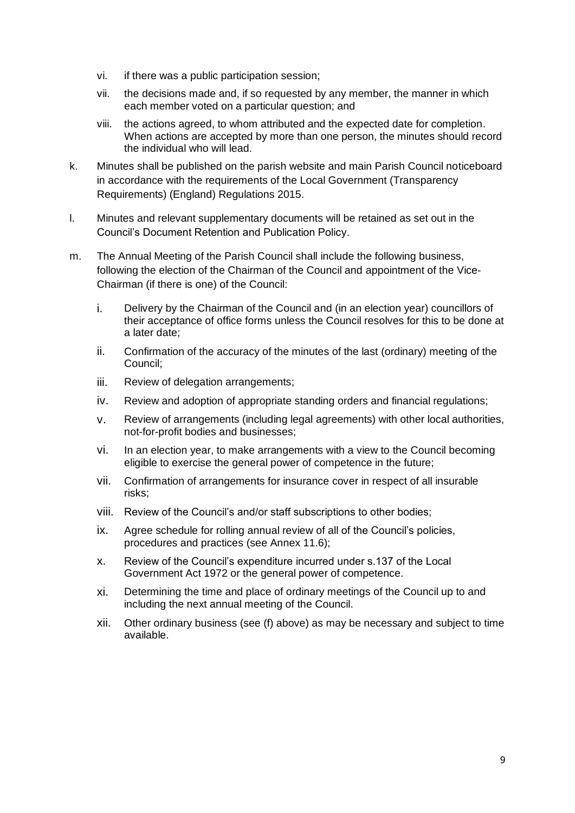- vi. if there was a public participation session;
- vii. the decisions made and, if so requested by any member, the manner in which each member voted on a particular question; and
- viii. the actions agreed, to whom attributed and the expected date for completion. When actions are accepted by more than one person, the minutes should record the individual who will lead.
- k. Minutes shall be published on the parish website and main Parish Council noticeboard in accordance with the requirements of the Local Government (Transparency Requirements) (England) Regulations 2015.
- l. Minutes and relevant supplementary documents will be retained as set out in the Council's Document Retention and Publication Policy.
- m. The Annual Meeting of the Parish Council shall include the following business, following the election of the Chairman of the Council and appointment of the Vice-Chairman (if there is one) of the Council:
	- i. Delivery by the Chairman of the Council and (in an election year) councillors of their acceptance of office forms unless the Council resolves for this to be done at a later date;
	- ii. Confirmation of the accuracy of the minutes of the last (ordinary) meeting of the Council;
	- iii. Review of delegation arrangements;
	- iv. Review and adoption of appropriate standing orders and financial regulations;
	- v. Review of arrangements (including legal agreements) with other local authorities, not-for-profit bodies and businesses;
	- vi. In an election year, to make arrangements with a view to the Council becoming eligible to exercise the general power of competence in the future;
	- vii. Confirmation of arrangements for insurance cover in respect of all insurable risks;
	- viii. Review of the Council's and/or staff subscriptions to other bodies;
	- ix. Agree schedule for rolling annual review of all of the Council's policies, procedures and practices (see Annex 11.6);
	- x. Review of the Council's expenditure incurred under s.137 of the Local Government Act 1972 or the general power of competence.
	- xi. Determining the time and place of ordinary meetings of the Council up to and including the next annual meeting of the Council.
	- xii. Other ordinary business (see (f) above) as may be necessary and subject to time available.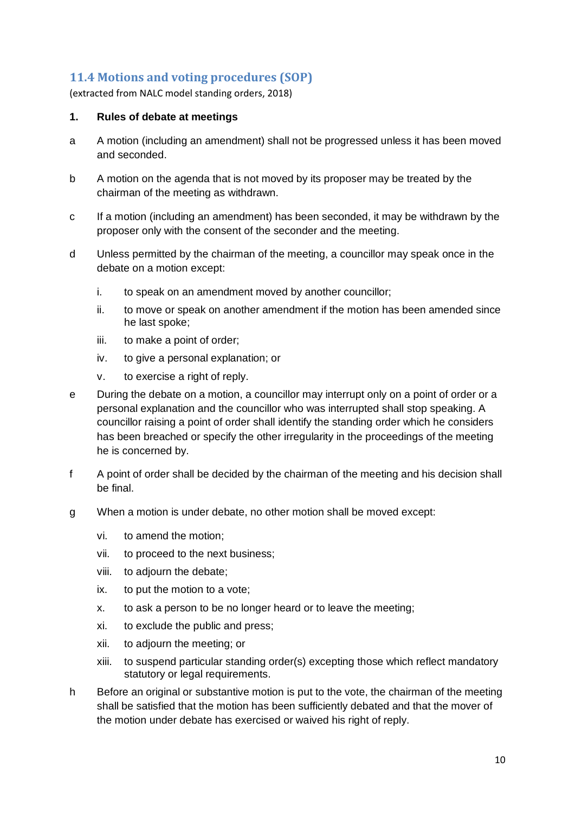## <span id="page-9-0"></span>**11.4 Motions and voting procedures (SOP)**

(extracted from NALC model standing orders, 2018)

#### **1. Rules of debate at meetings**

- a A motion (including an amendment) shall not be progressed unless it has been moved and seconded.
- b A motion on the agenda that is not moved by its proposer may be treated by the chairman of the meeting as withdrawn.
- c If a motion (including an amendment) has been seconded, it may be withdrawn by the proposer only with the consent of the seconder and the meeting.
- d Unless permitted by the chairman of the meeting, a councillor may speak once in the debate on a motion except:
	- i. to speak on an amendment moved by another councillor;
	- ii. to move or speak on another amendment if the motion has been amended since he last spoke;
	- iii. to make a point of order;
	- iv. to give a personal explanation; or
	- v. to exercise a right of reply.
- e During the debate on a motion, a councillor may interrupt only on a point of order or a personal explanation and the councillor who was interrupted shall stop speaking. A councillor raising a point of order shall identify the standing order which he considers has been breached or specify the other irregularity in the proceedings of the meeting he is concerned by.
- f A point of order shall be decided by the chairman of the meeting and his decision shall be final.
- g When a motion is under debate, no other motion shall be moved except:
	- vi. to amend the motion;
	- vii. to proceed to the next business;
	- viii. to adjourn the debate;
	- ix. to put the motion to a vote;
	- x. to ask a person to be no longer heard or to leave the meeting;
	- xi. to exclude the public and press;
	- xii. to adjourn the meeting; or
	- xiii. to suspend particular standing order(s) excepting those which reflect mandatory statutory or legal requirements.
- h Before an original or substantive motion is put to the vote, the chairman of the meeting shall be satisfied that the motion has been sufficiently debated and that the mover of the motion under debate has exercised or waived his right of reply.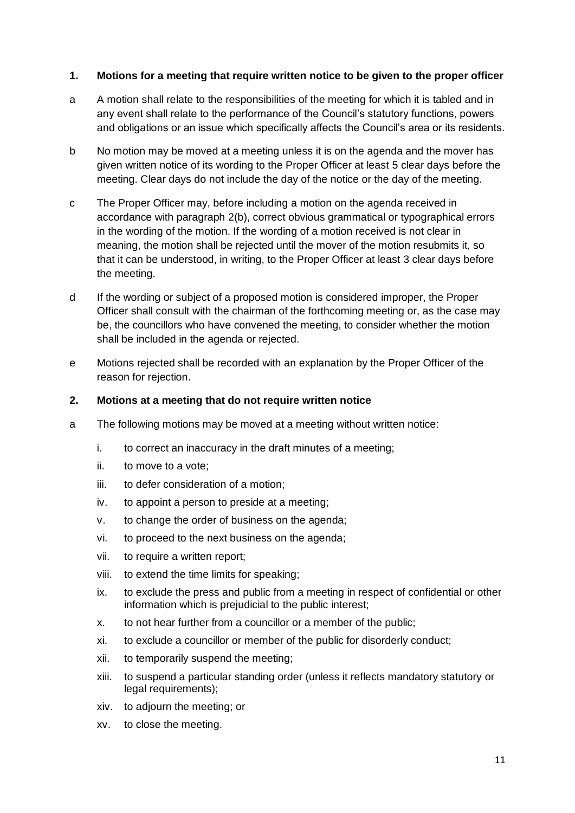### **1. Motions for a meeting that require written notice to be given to the proper officer**

- a A motion shall relate to the responsibilities of the meeting for which it is tabled and in any event shall relate to the performance of the Council's statutory functions, powers and obligations or an issue which specifically affects the Council's area or its residents.
- b No motion may be moved at a meeting unless it is on the agenda and the mover has given written notice of its wording to the Proper Officer at least 5 clear days before the meeting. Clear days do not include the day of the notice or the day of the meeting.
- c The Proper Officer may, before including a motion on the agenda received in accordance with paragraph 2(b), correct obvious grammatical or typographical errors in the wording of the motion. If the wording of a motion received is not clear in meaning, the motion shall be rejected until the mover of the motion resubmits it, so that it can be understood, in writing, to the Proper Officer at least 3 clear days before the meeting.
- d If the wording or subject of a proposed motion is considered improper, the Proper Officer shall consult with the chairman of the forthcoming meeting or, as the case may be, the councillors who have convened the meeting, to consider whether the motion shall be included in the agenda or rejected.
- e Motions rejected shall be recorded with an explanation by the Proper Officer of the reason for rejection.

#### **2. Motions at a meeting that do not require written notice**

- a The following motions may be moved at a meeting without written notice:
	- i. to correct an inaccuracy in the draft minutes of a meeting;
	- ii. to move to a vote;
	- iii. to defer consideration of a motion;
	- iv. to appoint a person to preside at a meeting;
	- v. to change the order of business on the agenda;
	- vi. to proceed to the next business on the agenda;
	- vii. to require a written report;
	- viii. to extend the time limits for speaking;
	- ix. to exclude the press and public from a meeting in respect of confidential or other information which is prejudicial to the public interest;
	- x. to not hear further from a councillor or a member of the public;
	- xi. to exclude a councillor or member of the public for disorderly conduct;
	- xii. to temporarily suspend the meeting;
	- xiii. to suspend a particular standing order (unless it reflects mandatory statutory or legal requirements);
	- xiv. to adjourn the meeting; or
	- xv. to close the meeting.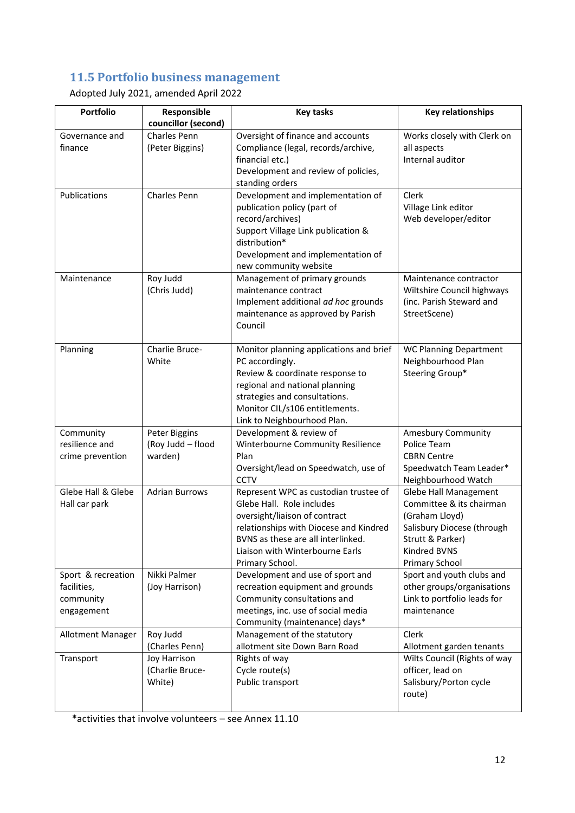## <span id="page-11-0"></span>**11.5 Portfolio business management**

Adopted July 2021, amended April 2022

| <b>Portfolio</b>                                             | Responsible                                   | <b>Key tasks</b>                                                                                                                                                                                                                          | <b>Key relationships</b>                                                                                                                                |
|--------------------------------------------------------------|-----------------------------------------------|-------------------------------------------------------------------------------------------------------------------------------------------------------------------------------------------------------------------------------------------|---------------------------------------------------------------------------------------------------------------------------------------------------------|
|                                                              | councillor (second)                           |                                                                                                                                                                                                                                           |                                                                                                                                                         |
| Governance and<br>finance                                    | Charles Penn<br>(Peter Biggins)               | Oversight of finance and accounts<br>Compliance (legal, records/archive,<br>financial etc.)<br>Development and review of policies,<br>standing orders                                                                                     | Works closely with Clerk on<br>all aspects<br>Internal auditor                                                                                          |
| Publications                                                 | Charles Penn                                  | Development and implementation of<br>publication policy (part of<br>record/archives)<br>Support Village Link publication &<br>distribution*<br>Development and implementation of<br>new community website                                 | Clerk<br>Village Link editor<br>Web developer/editor                                                                                                    |
| Maintenance                                                  | Roy Judd<br>(Chris Judd)                      | Management of primary grounds<br>maintenance contract<br>Implement additional ad hoc grounds<br>maintenance as approved by Parish<br>Council                                                                                              | Maintenance contractor<br>Wiltshire Council highways<br>(inc. Parish Steward and<br>StreetScene)                                                        |
| Planning                                                     | Charlie Bruce-<br>White                       | Monitor planning applications and brief<br>PC accordingly.<br>Review & coordinate response to<br>regional and national planning<br>strategies and consultations.<br>Monitor CIL/s106 entitlements.<br>Link to Neighbourhood Plan.         | <b>WC Planning Department</b><br>Neighbourhood Plan<br>Steering Group*                                                                                  |
| Community<br>resilience and<br>crime prevention              | Peter Biggins<br>(Roy Judd - flood<br>warden) | Development & review of<br>Winterbourne Community Resilience<br>Plan<br>Oversight/lead on Speedwatch, use of<br><b>CCTV</b>                                                                                                               | <b>Amesbury Community</b><br>Police Team<br><b>CBRN Centre</b><br>Speedwatch Team Leader*<br>Neighbourhood Watch                                        |
| Glebe Hall & Glebe<br>Hall car park                          | <b>Adrian Burrows</b>                         | Represent WPC as custodian trustee of<br>Glebe Hall. Role includes<br>oversight/liaison of contract<br>relationships with Diocese and Kindred<br>BVNS as these are all interlinked.<br>Liaison with Winterbourne Earls<br>Primary School. | Glebe Hall Management<br>Committee & its chairman<br>(Graham Lloyd)<br>Salisbury Diocese (through<br>Strutt & Parker)<br>Kindred BVNS<br>Primary School |
| Sport & recreation<br>facilities,<br>community<br>engagement | Nikki Palmer<br>(Joy Harrison)                | Development and use of sport and<br>recreation equipment and grounds<br>Community consultations and<br>meetings, inc. use of social media<br>Community (maintenance) days*                                                                | Sport and youth clubs and<br>other groups/organisations<br>Link to portfolio leads for<br>maintenance                                                   |
| Allotment Manager                                            | Roy Judd<br>(Charles Penn)                    | Management of the statutory<br>allotment site Down Barn Road                                                                                                                                                                              | <b>Clerk</b><br>Allotment garden tenants                                                                                                                |
| Transport                                                    | Joy Harrison<br>(Charlie Bruce-<br>White)     | Rights of way<br>Cycle route(s)<br>Public transport                                                                                                                                                                                       | Wilts Council (Rights of way<br>officer, lead on<br>Salisbury/Porton cycle<br>route)                                                                    |

\*activities that involve volunteers – see Annex 11.10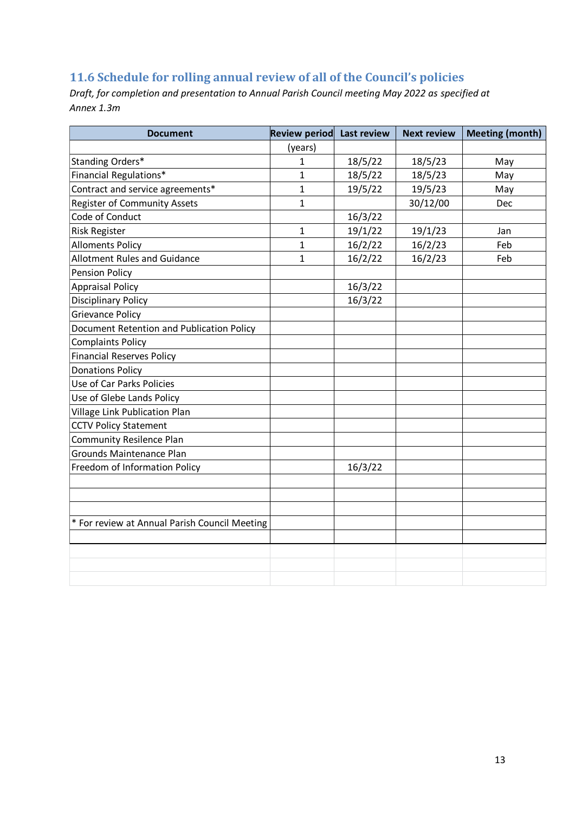## <span id="page-12-0"></span>**11.6 Schedule for rolling annual review of all of the Council's policies**

*Draft, for completion and presentation to Annual Parish Council meeting May 2022 as specified at Annex 1.3m*

| <b>Document</b>                               | Review period | Last review | <b>Next review</b> | <b>Meeting (month)</b> |
|-----------------------------------------------|---------------|-------------|--------------------|------------------------|
|                                               | (years)       |             |                    |                        |
| Standing Orders*                              | $\mathbf{1}$  | 18/5/22     | 18/5/23            | May                    |
| Financial Regulations*                        | $\mathbf{1}$  | 18/5/22     | 18/5/23            | May                    |
| Contract and service agreements*              | 1             | 19/5/22     | 19/5/23            | May                    |
| <b>Register of Community Assets</b>           | $\mathbf{1}$  |             | 30/12/00           | Dec                    |
| Code of Conduct                               |               | 16/3/22     |                    |                        |
| <b>Risk Register</b>                          | $\mathbf{1}$  | 19/1/22     | 19/1/23            | Jan                    |
| <b>Alloments Policy</b>                       | 1             | 16/2/22     | 16/2/23            | Feb                    |
| <b>Allotment Rules and Guidance</b>           | 1             | 16/2/22     | 16/2/23            | Feb                    |
| <b>Pension Policy</b>                         |               |             |                    |                        |
| <b>Appraisal Policy</b>                       |               | 16/3/22     |                    |                        |
| <b>Disciplinary Policy</b>                    |               | 16/3/22     |                    |                        |
| <b>Grievance Policy</b>                       |               |             |                    |                        |
| Document Retention and Publication Policy     |               |             |                    |                        |
| <b>Complaints Policy</b>                      |               |             |                    |                        |
| <b>Financial Reserves Policy</b>              |               |             |                    |                        |
| <b>Donations Policy</b>                       |               |             |                    |                        |
| Use of Car Parks Policies                     |               |             |                    |                        |
| Use of Glebe Lands Policy                     |               |             |                    |                        |
| Village Link Publication Plan                 |               |             |                    |                        |
| <b>CCTV Policy Statement</b>                  |               |             |                    |                        |
| <b>Community Resilence Plan</b>               |               |             |                    |                        |
| Grounds Maintenance Plan                      |               |             |                    |                        |
| Freedom of Information Policy                 |               | 16/3/22     |                    |                        |
|                                               |               |             |                    |                        |
|                                               |               |             |                    |                        |
|                                               |               |             |                    |                        |
| * For review at Annual Parish Council Meeting |               |             |                    |                        |
|                                               |               |             |                    |                        |
|                                               |               |             |                    |                        |
|                                               |               |             |                    |                        |
|                                               |               |             |                    |                        |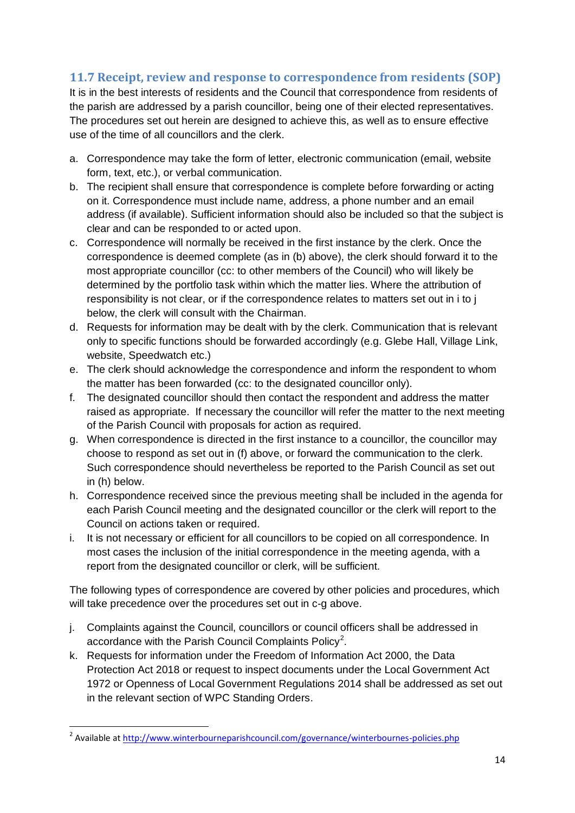## <span id="page-13-0"></span>**11.7 Receipt, review and response to correspondence from residents (SOP)**

It is in the best interests of residents and the Council that correspondence from residents of the parish are addressed by a parish councillor, being one of their elected representatives. The procedures set out herein are designed to achieve this, as well as to ensure effective use of the time of all councillors and the clerk.

- a. Correspondence may take the form of letter, electronic communication (email, website form, text, etc.), or verbal communication.
- b. The recipient shall ensure that correspondence is complete before forwarding or acting on it. Correspondence must include name, address, a phone number and an email address (if available). Sufficient information should also be included so that the subject is clear and can be responded to or acted upon.
- c. Correspondence will normally be received in the first instance by the clerk. Once the correspondence is deemed complete (as in (b) above), the clerk should forward it to the most appropriate councillor (cc: to other members of the Council) who will likely be determined by the portfolio task within which the matter lies. Where the attribution of responsibility is not clear, or if the correspondence relates to matters set out in i to j below, the clerk will consult with the Chairman.
- d. Requests for information may be dealt with by the clerk. Communication that is relevant only to specific functions should be forwarded accordingly (e.g. Glebe Hall, Village Link, website, Speedwatch etc.)
- e. The clerk should acknowledge the correspondence and inform the respondent to whom the matter has been forwarded (cc: to the designated councillor only).
- f. The designated councillor should then contact the respondent and address the matter raised as appropriate. If necessary the councillor will refer the matter to the next meeting of the Parish Council with proposals for action as required.
- g. When correspondence is directed in the first instance to a councillor, the councillor may choose to respond as set out in (f) above, or forward the communication to the clerk. Such correspondence should nevertheless be reported to the Parish Council as set out in (h) below.
- h. Correspondence received since the previous meeting shall be included in the agenda for each Parish Council meeting and the designated councillor or the clerk will report to the Council on actions taken or required.
- i. It is not necessary or efficient for all councillors to be copied on all correspondence. In most cases the inclusion of the initial correspondence in the meeting agenda, with a report from the designated councillor or clerk, will be sufficient.

The following types of correspondence are covered by other policies and procedures, which will take precedence over the procedures set out in c-g above.

- j. Complaints against the Council, councillors or council officers shall be addressed in accordance with the Parish Council Complaints Policy<sup>2</sup>.
- k. Requests for information under the Freedom of Information Act 2000, the Data Protection Act 2018 or request to inspect documents under the Local Government Act 1972 or Openness of Local Government Regulations 2014 shall be addressed as set out in the relevant section of WPC Standing Orders.

 2 Available at<http://www.winterbourneparishcouncil.com/governance/winterbournes-policies.php>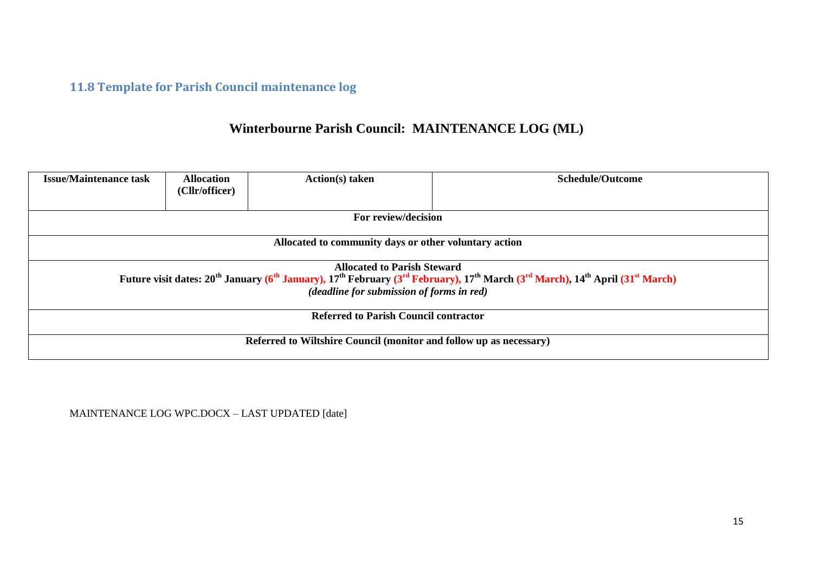# **11.8 Template for Parish Council maintenance log**

# **Winterbourne Parish Council: MAINTENANCE LOG (ML)**

| <b>Issue/Maintenance task</b>                                                                                                                                                                                                                                                                                    | <b>Allocation</b><br>(Cllr/officer) | Action(s) taken | Schedule/Outcome |  |
|------------------------------------------------------------------------------------------------------------------------------------------------------------------------------------------------------------------------------------------------------------------------------------------------------------------|-------------------------------------|-----------------|------------------|--|
| For review/decision                                                                                                                                                                                                                                                                                              |                                     |                 |                  |  |
| Allocated to community days or other voluntary action                                                                                                                                                                                                                                                            |                                     |                 |                  |  |
| <b>Allocated to Parish Steward</b><br>Future visit dates: 20 <sup>th</sup> January (6 <sup>th</sup> January), 17 <sup>th</sup> February (3 <sup>rd</sup> February), 17 <sup>th</sup> March (3 <sup>rd</sup> March), 14 <sup>th</sup> April (31 <sup>st</sup> March)<br>(deadline for submission of forms in red) |                                     |                 |                  |  |
| <b>Referred to Parish Council contractor</b>                                                                                                                                                                                                                                                                     |                                     |                 |                  |  |
| Referred to Wiltshire Council (monitor and follow up as necessary)                                                                                                                                                                                                                                               |                                     |                 |                  |  |

<span id="page-14-0"></span>MAINTENANCE LOG WPC.DOCX – LAST UPDATED [date]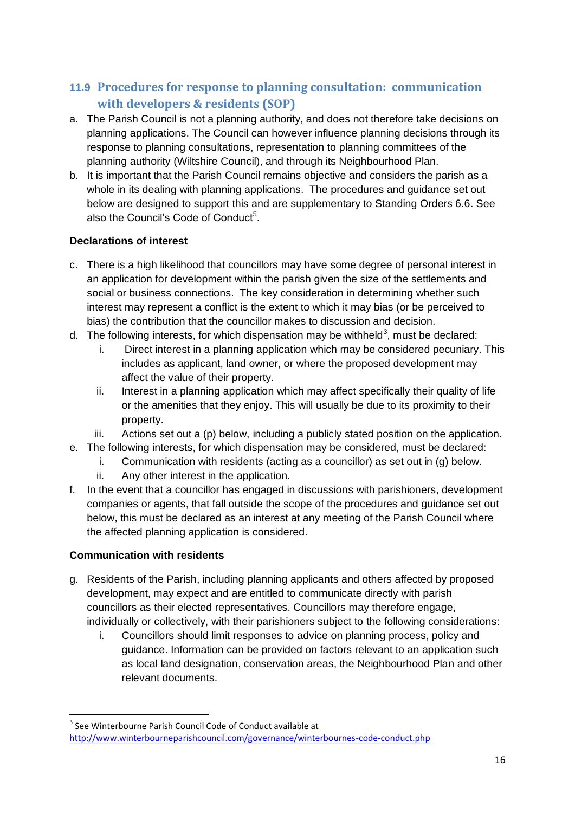## <span id="page-15-0"></span>**11.9 Procedures for response to planning consultation: communication with developers & residents (SOP)**

- a. The Parish Council is not a planning authority, and does not therefore take decisions on planning applications. The Council can however influence planning decisions through its response to planning consultations, representation to planning committees of the planning authority (Wiltshire Council), and through its Neighbourhood Plan.
- b. It is important that the Parish Council remains objective and considers the parish as a whole in its dealing with planning applications. The procedures and guidance set out below are designed to support this and are supplementary to Standing Orders 6.6. See also the Council's Code of Conduct<sup>5</sup>.

### **Declarations of interest**

- c. There is a high likelihood that councillors may have some degree of personal interest in an application for development within the parish given the size of the settlements and social or business connections. The key consideration in determining whether such interest may represent a conflict is the extent to which it may bias (or be perceived to bias) the contribution that the councillor makes to discussion and decision.
- d. The following interests, for which dispensation may be withheld<sup>3</sup>, must be declared:
	- i. Direct interest in a planning application which may be considered pecuniary. This includes as applicant, land owner, or where the proposed development may affect the value of their property.
	- ii. Interest in a planning application which may affect specifically their quality of life or the amenities that they enjoy. This will usually be due to its proximity to their property.
	- iii. Actions set out a (p) below, including a publicly stated position on the application.
- e. The following interests, for which dispensation may be considered, must be declared:
	- i. Communication with residents (acting as a councillor) as set out in (g) below.
	- ii. Any other interest in the application.
- f. In the event that a councillor has engaged in discussions with parishioners, development companies or agents, that fall outside the scope of the procedures and guidance set out below, this must be declared as an interest at any meeting of the Parish Council where the affected planning application is considered.

### **Communication with residents**

- g. Residents of the Parish, including planning applicants and others affected by proposed development, may expect and are entitled to communicate directly with parish councillors as their elected representatives. Councillors may therefore engage, individually or collectively, with their parishioners subject to the following considerations:
	- i. Councillors should limit responses to advice on planning process, policy and guidance. Information can be provided on factors relevant to an application such as local land designation, conservation areas, the Neighbourhood Plan and other relevant documents.

<sup>1</sup> <sup>3</sup> See Winterbourne Parish Council Code of Conduct available at <http://www.winterbourneparishcouncil.com/governance/winterbournes-code-conduct.php>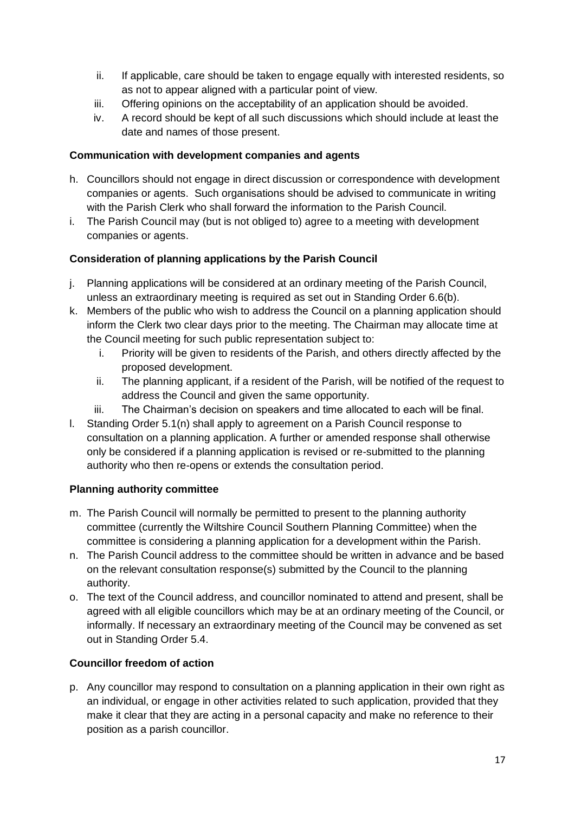- ii. If applicable, care should be taken to engage equally with interested residents, so as not to appear aligned with a particular point of view.
- iii. Offering opinions on the acceptability of an application should be avoided.
- iv. A record should be kept of all such discussions which should include at least the date and names of those present.

### **Communication with development companies and agents**

- h. Councillors should not engage in direct discussion or correspondence with development companies or agents. Such organisations should be advised to communicate in writing with the Parish Clerk who shall forward the information to the Parish Council.
- i. The Parish Council may (but is not obliged to) agree to a meeting with development companies or agents.

### **Consideration of planning applications by the Parish Council**

- j. Planning applications will be considered at an ordinary meeting of the Parish Council, unless an extraordinary meeting is required as set out in Standing Order 6.6(b).
- k. Members of the public who wish to address the Council on a planning application should inform the Clerk two clear days prior to the meeting. The Chairman may allocate time at the Council meeting for such public representation subject to:
	- i. Priority will be given to residents of the Parish, and others directly affected by the proposed development.
	- ii. The planning applicant, if a resident of the Parish, will be notified of the request to address the Council and given the same opportunity.
	- iii. The Chairman's decision on speakers and time allocated to each will be final.
- l. Standing Order 5.1(n) shall apply to agreement on a Parish Council response to consultation on a planning application. A further or amended response shall otherwise only be considered if a planning application is revised or re-submitted to the planning authority who then re-opens or extends the consultation period.

### **Planning authority committee**

- m. The Parish Council will normally be permitted to present to the planning authority committee (currently the Wiltshire Council Southern Planning Committee) when the committee is considering a planning application for a development within the Parish.
- n. The Parish Council address to the committee should be written in advance and be based on the relevant consultation response(s) submitted by the Council to the planning authority.
- o. The text of the Council address, and councillor nominated to attend and present, shall be agreed with all eligible councillors which may be at an ordinary meeting of the Council, or informally. If necessary an extraordinary meeting of the Council may be convened as set out in Standing Order 5.4.

### **Councillor freedom of action**

p. Any councillor may respond to consultation on a planning application in their own right as an individual, or engage in other activities related to such application, provided that they make it clear that they are acting in a personal capacity and make no reference to their position as a parish councillor.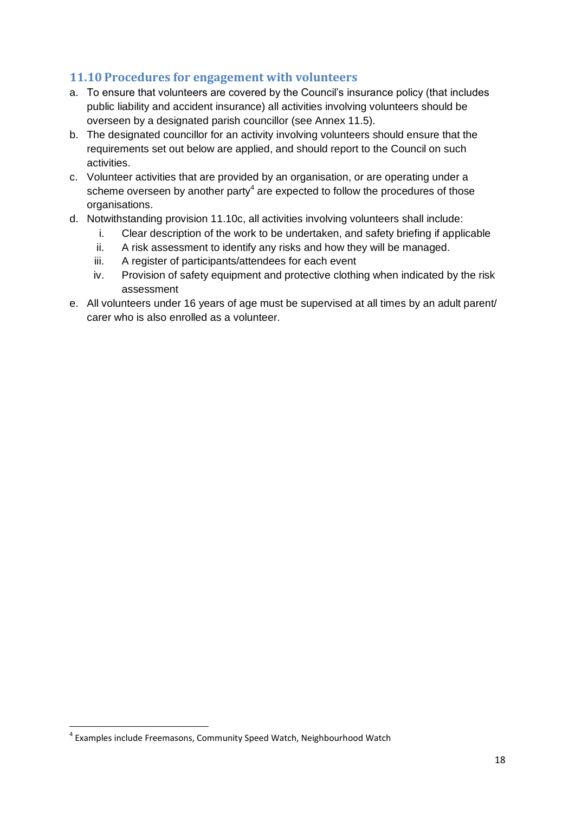### <span id="page-17-0"></span>**11.10 Procedures for engagement with volunteers**

- a. To ensure that volunteers are covered by the Council's insurance policy (that includes public liability and accident insurance) all activities involving volunteers should be overseen by a designated parish councillor (see Annex 11.5).
- b. The designated councillor for an activity involving volunteers should ensure that the requirements set out below are applied, and should report to the Council on such activities.
- c. Volunteer activities that are provided by an organisation, or are operating under a scheme overseen by another party<sup>4</sup> are expected to follow the procedures of those organisations.
- d. Notwithstanding provision 11.10c, all activities involving volunteers shall include:
	- i. Clear description of the work to be undertaken, and safety briefing if applicable
	- ii. A risk assessment to identify any risks and how they will be managed.
	- iii. A register of participants/attendees for each event
	- iv. Provision of safety equipment and protective clothing when indicated by the risk assessment
- e. All volunteers under 16 years of age must be supervised at all times by an adult parent/ carer who is also enrolled as a volunteer.

 4 Examples include Freemasons, Community Speed Watch, Neighbourhood Watch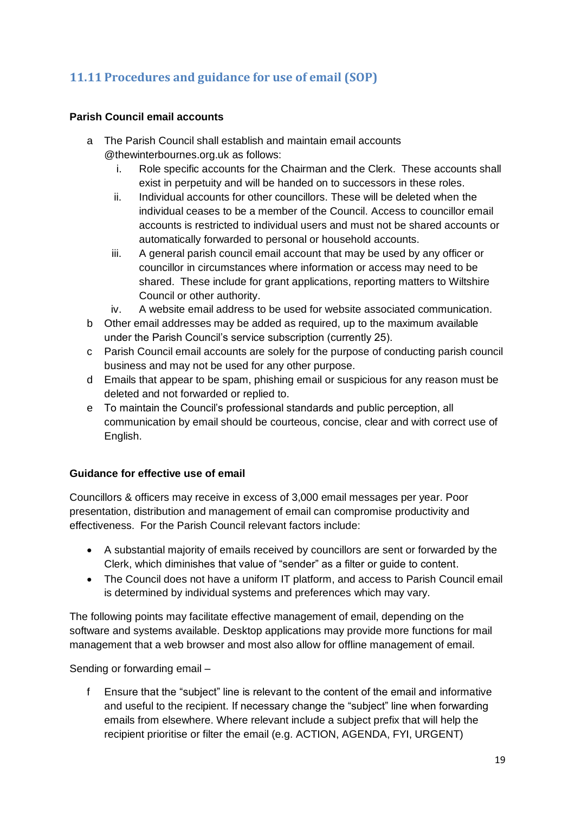## <span id="page-18-0"></span>**11.11 Procedures and guidance for use of email (SOP)**

### **Parish Council email accounts**

- a The Parish Council shall establish and maintain email accounts @thewinterbournes.org.uk as follows:
	- i. Role specific accounts for the Chairman and the Clerk. These accounts shall exist in perpetuity and will be handed on to successors in these roles.
	- ii. Individual accounts for other councillors. These will be deleted when the individual ceases to be a member of the Council. Access to councillor email accounts is restricted to individual users and must not be shared accounts or automatically forwarded to personal or household accounts.
	- iii. A general parish council email account that may be used by any officer or councillor in circumstances where information or access may need to be shared. These include for grant applications, reporting matters to Wiltshire Council or other authority.
	- iv. A website email address to be used for website associated communication.
- b Other email addresses may be added as required, up to the maximum available under the Parish Council's service subscription (currently 25).
- c Parish Council email accounts are solely for the purpose of conducting parish council business and may not be used for any other purpose.
- d Emails that appear to be spam, phishing email or suspicious for any reason must be deleted and not forwarded or replied to.
- e To maintain the Council's professional standards and public perception, all communication by email should be courteous, concise, clear and with correct use of English.

### **Guidance for effective use of email**

Councillors & officers may receive in excess of 3,000 email messages per year. Poor presentation, distribution and management of email can compromise productivity and effectiveness. For the Parish Council relevant factors include:

- A substantial majority of emails received by councillors are sent or forwarded by the Clerk, which diminishes that value of "sender" as a filter or guide to content.
- The Council does not have a uniform IT platform, and access to Parish Council email is determined by individual systems and preferences which may vary.

The following points may facilitate effective management of email, depending on the software and systems available. Desktop applications may provide more functions for mail management that a web browser and most also allow for offline management of email.

Sending or forwarding email –

f Ensure that the "subject" line is relevant to the content of the email and informative and useful to the recipient. If necessary change the "subject" line when forwarding emails from elsewhere. Where relevant include a subject prefix that will help the recipient prioritise or filter the email (e.g. ACTION, AGENDA, FYI, URGENT)